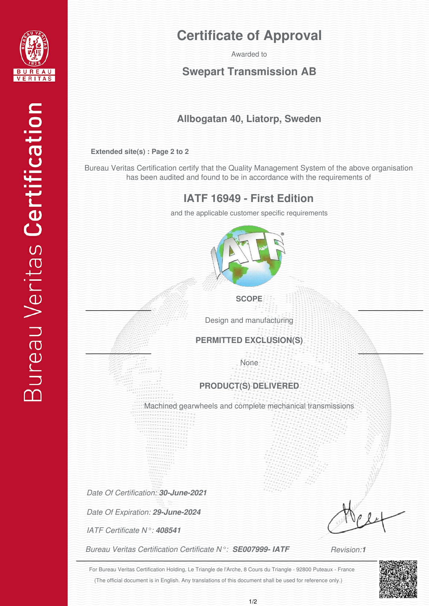

# **Certificate of Approval**

Awarded to

## **Swepart Transmission AB**

## **Allbogatan 40, Liatorp, Sweden**

#### **Extended site(s) : Page 2 to 2**

Bureau Veritas Certification certify that the Quality Management System of the above organisation has been audited and found to be in accordance with the requirements of

## **IATF 16949 - First Edition**

and the applicable customer specific requirements



#### **SCOPE**

Design and manufacturing

#### **PERMITTED EXCLUSION(S)**

None

### **PRODUCT(S) DELIVERED**

Machined gearwheels and complete mechanical transmissions

*Date Of Certification: 30-June-2021*

*Date Of Expiration: 29-June-2024*

*IATF Certificate N°: 408541*

*Bureau Veritas Certification Certificate N°: SE007999- IATF*

*Revision:1*

(The official document is in English. Any translations of this document shall be used for reference only.) For Bureau Veritas Certification Holding, Le Triangle de l'Arche, 8 Cours du Triangle - 92800 Puteaux - France